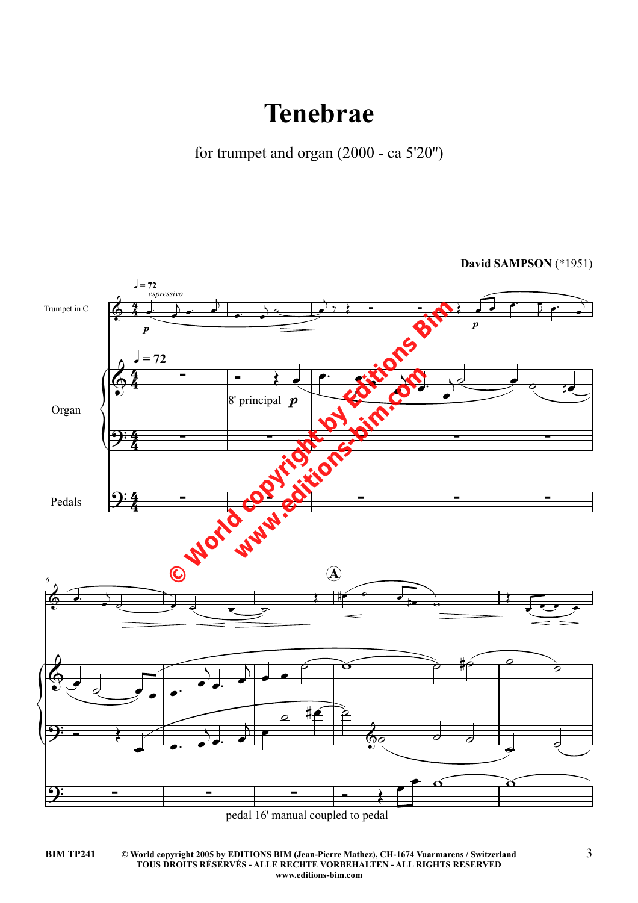## **Tenebrae**

for trumpet and organ (2000 - ca 5'20")

David SAMPSON (\*1951)



pedal 16' manual coupled to pedal

**BIM TP241**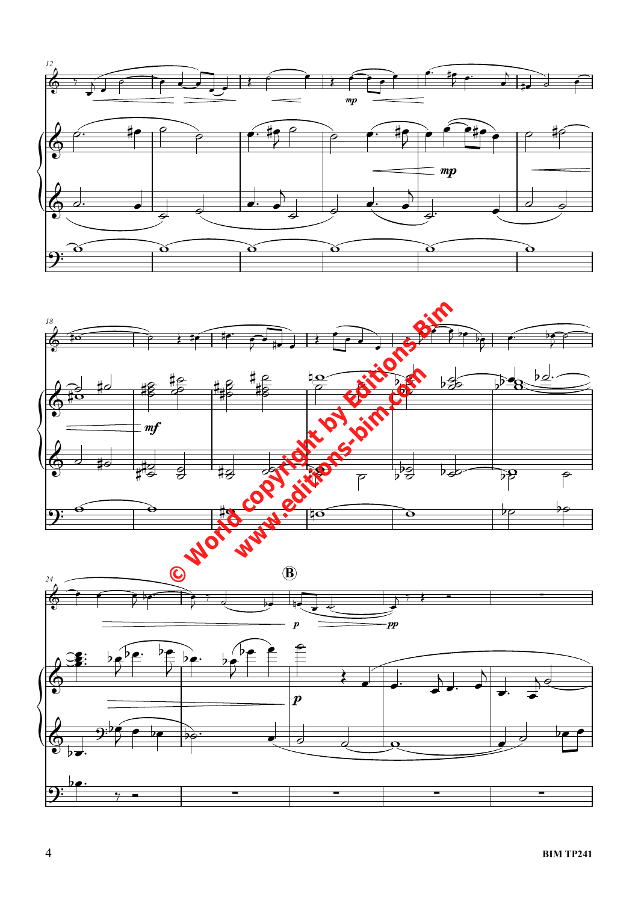